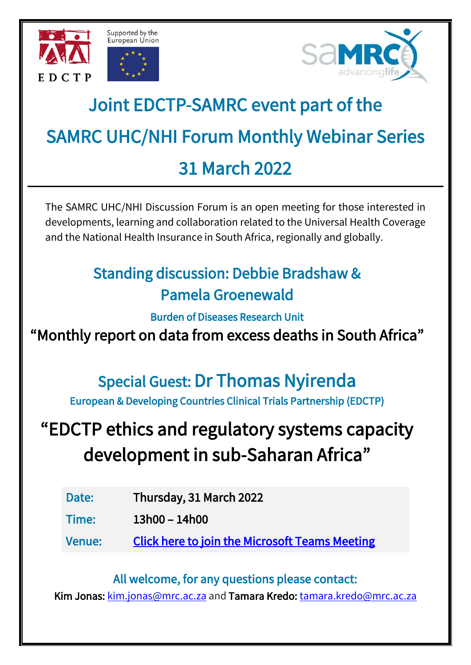





# Joint EDCTP-SAMRC event part of the SAMRC UHC/NHI Forum Monthly Webinar Series 31 March 2022

The SAMRC UHC/NHI Discussion Forum is an open meeting for those interested in developments, learning and collaboration related to the Universal Health Coverage and the National Health Insurance in South Africa, regionally and globally.

## Standing discussion: Debbie Bradshaw & Pamela Groenewald

Burden of Diseases Research Unit

"Monthly report on data from excess deaths in South Africa"

# Special Guest: Dr Thomas Nyirenda

European & Developing Countries Clinical Trials Partnership (EDCTP)

# "EDCTP ethics and regulatory systems capacity development in sub-Saharan Africa"

Date: Thursday, 31 March 2022

Time: 13h00 – 14h00

Venue: [Click here to join the Microsoft Teams Meeting](https://teams.microsoft.com/l/meetup-join/19%3ameeting_YzhkYjNjYjQtMjcyYS00ODFkLWIyOWUtNzI5MWQwOGQ2NjQ0%40thread.v2/0?context=%7b%22Tid%22%3a%22f1930bff-9b51-4d0c-b2bd-c26a9e0f4600%22%2c%22Oid%22%3a%221fb08bc7-9d26-4751-95de-120bce2cf92a%22%7d) 

All welcome, for any questions please contact:

Kim Jonas: [kim.jonas@mrc.ac.za](mailto:kim.jonas@mrc.ac.za) and Tamara Kredo: [tamara.kredo@mrc.ac.za](mailto:tamara.kredo@mrc.ac.za)